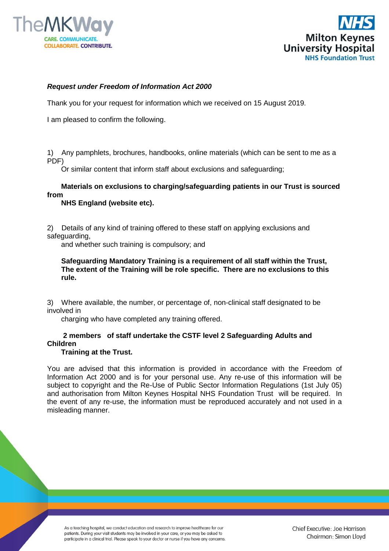



## *Request under Freedom of Information Act 2000*

Thank you for your request for information which we received on 15 August 2019.

I am pleased to confirm the following.

1) Any pamphlets, brochures, handbooks, online materials (which can be sent to me as a PDF)

Or similar content that inform staff about exclusions and safeguarding;

## **Materials on exclusions to charging/safeguarding patients in our Trust is sourced from**

 **NHS England (website etc).**

2) Details of any kind of training offered to these staff on applying exclusions and safeguarding,

and whether such training is compulsory; and

**Safeguarding Mandatory Training is a requirement of all staff within the Trust, The extent of the Training will be role specific. There are no exclusions to this rule.**

3) Where available, the number, or percentage of, non-clinical staff designated to be involved in

charging who have completed any training offered.

## **2 members of staff undertake the CSTF level 2 Safeguarding Adults and Children**

## **Training at the Trust.**

You are advised that this information is provided in accordance with the Freedom of Information Act 2000 and is for your personal use. Any re-use of this information will be subject to copyright and the Re-Use of Public Sector Information Regulations (1st July 05) and authorisation from Milton Keynes Hospital NHS Foundation Trust will be required. In the event of any re-use, the information must be reproduced accurately and not used in a misleading manner.

As a teaching hospital, we conduct education and research to improve healthcare for our patients. During your visit students may be involved in your care, or you may be asked to participate in a clinical trial. Please speak to your doctor or nurse if you have any concerns.